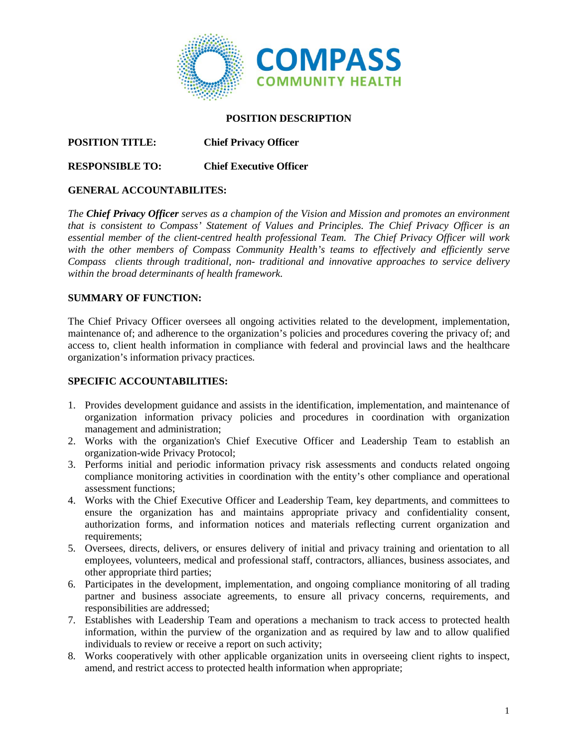

#### **POSITION DESCRIPTION**

## **POSITION TITLE: Chief Privacy Officer**

### **RESPONSIBLE TO: Chief Executive Officer**

#### **GENERAL ACCOUNTABILITES:**

*The Chief Privacy Officer serves as a champion of the Vision and Mission and promotes an environment that is consistent to Compass' Statement of Values and Principles. The Chief Privacy Officer is an essential member of the client-centred health professional Team. The Chief Privacy Officer will work*  with the other members of Compass Community Health's teams to effectively and efficiently serve *Compass clients through traditional, non- traditional and innovative approaches to service delivery within the broad determinants of health framework.*

#### **SUMMARY OF FUNCTION:**

The Chief Privacy Officer oversees all ongoing activities related to the development, implementation, maintenance of; and adherence to the organization's policies and procedures covering the privacy of; and access to, client health information in compliance with federal and provincial laws and the healthcare organization's information privacy practices.

#### **SPECIFIC ACCOUNTABILITIES:**

- 1. Provides development guidance and assists in the identification, implementation, and maintenance of organization information privacy policies and procedures in coordination with organization management and administration;
- 2. Works with the organization's Chief Executive Officer and Leadership Team to establish an organization-wide Privacy Protocol;
- 3. Performs initial and periodic information privacy risk assessments and conducts related ongoing compliance monitoring activities in coordination with the entity's other compliance and operational assessment functions;
- 4. Works with the Chief Executive Officer and Leadership Team, key departments, and committees to ensure the organization has and maintains appropriate privacy and confidentiality consent, authorization forms, and information notices and materials reflecting current organization and requirements:
- 5. Oversees, directs, delivers, or ensures delivery of initial and privacy training and orientation to all employees, volunteers, medical and professional staff, contractors, alliances, business associates, and other appropriate third parties;
- 6. Participates in the development, implementation, and ongoing compliance monitoring of all trading partner and business associate agreements, to ensure all privacy concerns, requirements, and responsibilities are addressed;
- 7. Establishes with Leadership Team and operations a mechanism to track access to protected health information, within the purview of the organization and as required by law and to allow qualified individuals to review or receive a report on such activity;
- 8. Works cooperatively with other applicable organization units in overseeing client rights to inspect, amend, and restrict access to protected health information when appropriate;